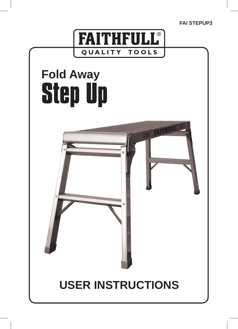**FAI STEPUP3**

FAITHFULL



# **Fold Away Step Up**

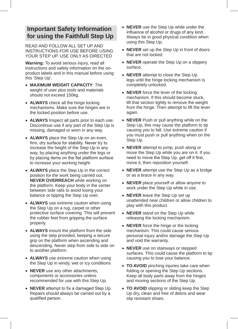## **Important Safety Information for using the Faithfull Step Up**

READ AND FOLLOW ALL SET UP AND INSTRUCTIONS FOR USE BEFORE USING YOUR STEP UP. USE ONLY AS DIRECTED

**Warning:** To avoid serious injury, read all instructions and safety information on the onproduct labels and in this manual before using this 'Step Up'.

- • **MAXIMUM WEIGHT CAPACITY**: The weight of user plus tools and materials should not exceed 150kg.
- • **ALWAYS** check all the hinge locking mechanisms. Make sure the hinges are in the locked position before use.
- **ALWAYS** Inspect all parts prior to each use. Discontinue use if any part of the Step Up is missing, damaged or worn in any way.
- • **ALWAYS** place the Step Up on an even, firm, dry surface for stability. Never try to increase the height of the Step Up in any way, by placing anything under the legs or by placing items on the flat platform surface to increase your working height.
- • **ALWAYS** place the Step Up in the correct position for the work being carried out. **NEVER OVERREACH** while working on the platform. Keep your body in the center between side rails to avoid losing your balance or tipping the Step Up over.
- **ALWAYS** use extreme caution when using the Step Up on a rug, carpet or other protective surface covering. This will prevent the rubber feet from gripping the surface properly.
- • **ALWAYS** mount the platform from the side using the step provided, keeping a secure grip on the platform when ascending and descending. Never step from side to side on to another platform.
- **ALWAYS** use extreme caution when using the Step Up in windy, wet or icy conditions
- • **NEVER** use any other attachments, components or accessories unless recommended for use with this Step Up.
- • **NEVER** attempt to fix a damaged Step Up. Repairs should always be carried out by a qualified person.
- • **NEVER** use the Step Up while under the influence of alcohol or drugs of any kind. Always be in good physical condition when using this Step Up.
- **NEVER** set up the Step Up in front of doors that are not locked.
- **NEVER** operate the Step Up on a slippery surface.
- • **NEVER** attempt to close the Step Up legs until the hinge locking mechanism is completely unlocked.
- • **NEVER** force the lever of the locking mechanism. If this should become stuck, lift that section lightly to remove the weight from the hinge. Then attempt to lift the lever again.
- • **NEVER** Push or pull anything while on the Step Up, this may cause the platform to tip causing you to fall. Use extreme caution if you must push or pull anything when on the Step Up.
- • **NEVER** attempt to jump, push along or move the Step Up while you are on it. If you need to move the Step Up, get off it first, move it, then reposition yourself.
- **NEVER** attempt use the Step Up as a bridge or as a brace in any way.
- **NEVER** place yourself or allow anyone to work under the Step Up while in use.
- • **NEVER** leave the Step Up set up unattended near children or allow children to play with this product.
- • **NEVER** stand on the Step Up while releasing the locking mechanism.
- • **NEVER** force the hinge or the locking mechanism. This could cause serious personal injury and/or damage the Step Up and void the warranty.
- • **NEVER** use on stairways or stepped surfaces. This could cause the platform to tip causing you to lose your balance.
- **TO AVOID** pinching injuries take care when folding or opening the Step Up sections. Keep all body parts away from the hinges and moving sections of the Step Up.
- **TO AVOID** slipping or sliding keep the Step Up dry, clean and free of debris and wear slip resistant shoes.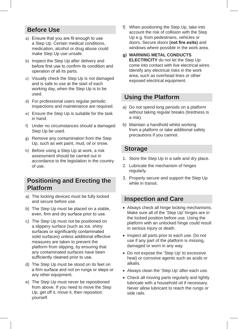## **Before Use**

- a) Ensure that you are fit enough to use a Step Up. Certain medical conditions, medication, alcohol or drug abuse could make Step Up use unsafe.
- b) Inspect the Step Up after delivery and before first use to confirm its condition and operation of all its parts.
- c) Visually check the Step Up is not damaged and is safe to use at the start of each working day, when the Step Up is to be used.
- d) For professional users regular periodic inspections and maintenance are required.
- e) Ensure the Step Up is suitable for the task in hand.
- f) Under no circumstances should a damaged Step Up be used.
- g) Remove any contamination from the Step Up, such as wet paint, mud, oil or snow.
- h) Before using a Step Up at work, a risk assessment should be carried out in accordance to the legislation in the country of use.

### **Positioning and Erecting the Platform**

- a) The locking devices must be fully locked and secure before use.
- b) The Step Up must be placed on a stable, even, firm and dry surface prior to use.
- c) The Step Up must not be positioned on a slippery surface (such as ice, shiny surfaces or significantly contaminated solid surfaces) unless additional effective measures are taken to prevent the platform from slipping, by ensuring that any contaminated surfaces have been sufficiently cleaned prior to use.
- d) The Step Up must be stood on its feet on a firm surface and not on rungs or steps or any other equipment.
- e) The Step Up must never be repositioned from above. If you need to move the Step Up, get off it, move it, then reposition yourself.
- f) When positioning the Step Up, take into account the risk of collision with the Step Up e.g. from pedestrians, vehicles or doors. Secure doors **(not fire exits)** and windows where possible in the work area.
- **g) WARNING METAL CONDUCTS ELECTRICITY** do not let the Step Up come into contact with live electrical wires. Identify any electrical risks in the work area, such as overhead lines or other exposed electrical equipment.

### **Using the Platform**

- a) Do not spend long periods on a platform without taking regular breaks (tiredness is a risk).
- b) Maintain a handhold whilst working from a platform or take additional safety precautions if you cannot.

#### **Storage**

- 1. Store the Step Up in a safe and dry place.
- 2. Lubricate the mechanism of hinges regularly.
- 3. Properly secure and support the Step Up while in transit.

#### **Inspection and Care**

- • Always check all hinge locking mechanisms. Make sure all of the 'Step Up' hinges are in the locked position before use. Using the platform with an unlocked hinge could result in serious injury or death.
- Inspect all parts prior to each use. Do not use if any part of the platform is missing, damaged or worn in any way.
- Do not expose the 'Step Up' to excessive heat) or corrosive agents such as acids or alkalis.
- Always clean the 'Step Up' after each use.
- Check all moving parts regularly and lightly lubricate with a household oil if necessary. Never allow lubricant to reach the rungs or side rails.